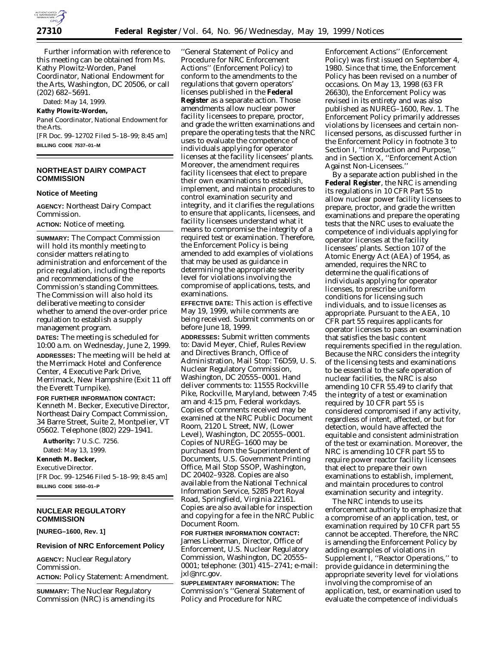

Further information with reference to this meeting can be obtained from Ms. Kathy Plowitz-Worden, Panel Coordinator, National Endowment for the Arts, Washington, DC 20506, or call (202) 682–5691.

Dated: May 14, 1999.

#### **Kathy Plowitz-Worden,**

*Panel Coordinator, National Endowment for the Arts.*

[FR Doc. 99–12702 Filed 5–18–99; 8:45 am] **BILLING CODE 7537–01–M**

### **NORTHEAST DAIRY COMPACT COMMISSION**

#### **Notice of Meeting**

**AGENCY:** Northeast Dairy Compact Commission.

**ACTION:** Notice of meeting.

**SUMMARY:** The Compact Commission will hold its monthly meeting to consider matters relating to administration and enforcement of the price regulation, including the reports and recommendations of the Commission's standing Committees. The Commission will also hold its deliberative meeting to consider whether to amend the over-order price regulation to establish a supply management program.

**DATES:** The meeting is scheduled for 10:00 a.m. on Wednesday, June 2, 1999.

**ADDRESSES:** The meeting will be held at the Merrimack Hotel and Conference Center, 4 Executive Park Drive, Merrimack, New Hampshire (Exit 11 off the Everett Turnpike).

#### **FOR FURTHER INFORMATION CONTACT:**

Kenneth M. Becker, Executive Director, Northeast Dairy Compact Commission, 34 Barre Street, Suite 2, Montpelier, VT 05602. Telephone (802) 229–1941.

**Authority:** 7 U.S.C. 7256. Dated: May 13, 1999.

# **Kenneth M. Becker,**

*Executive Director.* [FR Doc. 99–12546 Filed 5–18–99; 8:45 am] **BILLING CODE 1650–01–P**

## **NUCLEAR REGULATORY COMMISSION**

**[NUREG–1600, Rev. 1]**

#### **Revision of NRC Enforcement Policy**

**AGENCY:** Nuclear Regulatory Commission. **ACTION:** Policy Statement: Amendment.

**SUMMARY:** The Nuclear Regulatory Commission (NRC) is amending its

''General Statement of Policy and Procedure for NRC Enforcement Actions'' (Enforcement Policy) to conform to the amendments to the regulations that govern operators' licenses published in the **Federal Register** as a separate action. Those amendments allow nuclear power facility licensees to prepare, proctor, and grade the written examinations and prepare the operating tests that the NRC uses to evaluate the competence of individuals applying for operator licenses at the facility licensees' plants. Moreover, the amendment requires facility licensees that elect to prepare their own examinations to establish, implement, and maintain procedures to control examination security and integrity, and it clarifies the regulations to ensure that applicants, licensees, and facility licensees understand what it means to compromise the integrity of a required test or examination. Therefore, the Enforcement Policy is being amended to add examples of violations that may be used as guidance in determining the appropriate severity level for violations involving the compromise of applications, tests, and examinations.

**EFFECTIVE DATE:** This action is effective May 19, 1999, while comments are being received. Submit comments on or before June 18, 1999.

**ADDRESSES:** Submit written comments to: David Meyer, Chief, Rules Review and Directives Branch, Office of Administration, Mail Stop: T6D59, U. S. Nuclear Regulatory Commission, Washington, DC 20555–0001. Hand deliver comments to: 11555 Rockville Pike, Rockville, Maryland, between 7:45 am and 4:15 pm, Federal workdays. Copies of comments received may be examined at the NRC Public Document Room, 2120 L Street, NW, (Lower Level), Washington, DC 20555–0001. Copies of NUREG–1600 may be purchased from the Superintendent of Documents, U.S. Government Printing Office, Mail Stop SSOP, Washington, DC 20402–9328. Copies are also available from the National Technical Information Service, 5285 Port Royal Road, Springfield, Virginia 22161. Copies are also available for inspection and copying for a fee in the NRC Public Document Room.

**FOR FURTHER INFORMATION CONTACT:** James Lieberman, Director, Office of Enforcement, U.S. Nuclear Regulatory Commission, Washington, DC 20555– 0001; telephone: (301) 415–2741; e-mail: jxl@nrc.gov.

**SUPPLEMENTARY INFORMATION:** The Commission's ''General Statement of Policy and Procedure for NRC

Enforcement Actions'' (Enforcement Policy) was first issued on September 4, 1980. Since that time, the Enforcement Policy has been revised on a number of occasions. On May 13, 1998 (63 FR 26630), the Enforcement Policy was revised in its entirety and was also published as NUREG–1600, Rev. 1. The Enforcement Policy primarily addresses violations by licensees and certain nonlicensed persons, as discussed further in the Enforcement Policy in footnote 3 to Section I, ''Introduction and Purpose,'' and in Section X, ''Enforcement Action Against Non-Licensees.''

By a separate action published in the **Federal Register**, the NRC is amending its regulations in 10 CFR Part 55 to allow nuclear power facility licensees to prepare, proctor, and grade the written examinations and prepare the operating tests that the NRC uses to evaluate the competence of individuals applying for operator licenses at the facility licensees' plants. Section 107 of the Atomic Energy Act (AEA) of 1954, as amended, requires the NRC to determine the qualifications of individuals applying for operator licenses, to prescribe uniform conditions for licensing such individuals, and to issue licenses as appropriate. Pursuant to the AEA, 10 CFR part 55 requires applicants for operator licenses to pass an examination that satisfies the basic content requirements specified in the regulation. Because the NRC considers the integrity of the licensing tests and examinations to be essential to the safe operation of nuclear facilities, the NRC is also amending 10 CFR 55.49 to clarify that the integrity of a test or examination required by 10 CFR part 55 is considered compromised if any activity, regardless of intent, affected, or but for detection, would have affected the equitable and consistent administration of the test or examination. Moreover, the NRC is amending 10 CFR part 55 to require power reactor facility licensees that elect to prepare their own examinations to establish, implement, and maintain procedures to control examination security and integrity.

The NRC intends to use its enforcement authority to emphasize that a compromise of an application, test, or examination required by 10 CFR part 55 cannot be accepted. Therefore, the NRC is amending the Enforcement Policy by adding examples of violations in Supplement I, ''Reactor Operations,'' to provide guidance in determining the appropriate severity level for violations involving the compromise of an application, test, or examination used to evaluate the competence of individuals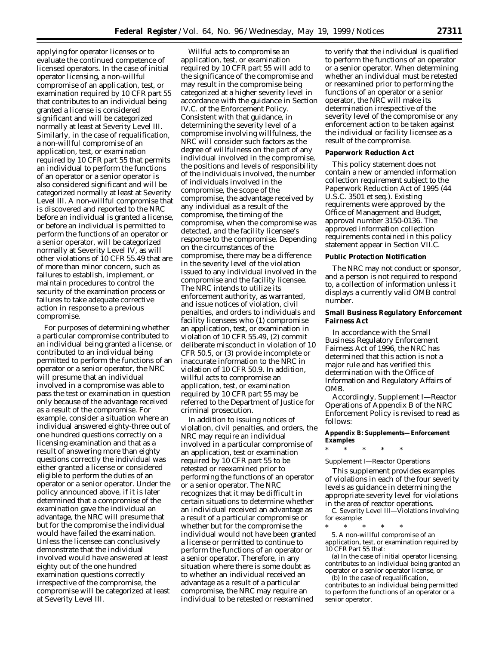applying for operator licenses or to evaluate the continued competence of licensed operators. In the case of initial operator licensing, a non-willful compromise of an application, test, or examination required by 10 CFR part 55 that contributes to an individual being granted a license is considered significant and will be categorized normally at least at Severity Level III. Similarly, in the case of requalification, a non-willful compromise of an application, test, or examination required by 10 CFR part 55 that permits an individual to perform the functions of an operator or a senior operator is also considered significant and will be categorized normally at least at Severity Level III. A non-willful compromise that is discovered and reported to the NRC before an individual is granted a license, or before an individual is permitted to perform the functions of an operator or a senior operator, will be categorized normally at Severity Level IV, as will other violations of 10 CFR 55.49 that are of more than minor concern, such as failures to establish, implement, or maintain procedures to control the security of the examination process or failures to take adequate corrective action in response to a previous compromise.

For purposes of determining whether a particular compromise contributed to an individual being granted a license, or contributed to an individual being permitted to perform the functions of an operator or a senior operator, the NRC will presume that an individual involved in a compromise was able to pass the test or examination in question only because of the advantage received as a result of the compromise. For example, consider a situation where an individual answered eighty-three out of one hundred questions correctly on a licensing examination and that as a result of answering more than eighty questions correctly the individual was either granted a license or considered eligible to perform the duties of an operator or a senior operator. Under the policy announced above, if it is later determined that a compromise of the examination gave the individual an advantage, the NRC will presume that but for the compromise the individual would have failed the examination. Unless the licensee can conclusively demonstrate that the individual involved would have answered at least eighty out of the one hundred examination questions correctly irrespective of the compromise, the compromise will be categorized at least at Severity Level III.

Willful acts to compromise an application, test, or examination required by 10 CFR part 55 will add to the significance of the compromise and may result in the compromise being categorized at a higher severity level in accordance with the guidance in Section IV.C. of the Enforcement Policy. Consistent with that guidance, in determining the severity level of a compromise involving willfulness, the NRC will consider such factors as the degree of willfulness on the part of any individual involved in the compromise, the positions and levels of responsibility of the individuals involved, the number of individuals involved in the compromise, the scope of the compromise, the advantage received by any individual as a result of the compromise, the timing of the compromise, when the compromise was detected, and the facility licensee's response to the compromise. Depending on the circumstances of the compromise, there may be a difference in the severity level of the violation issued to any individual involved in the compromise and the facility licensee. The NRC intends to utilize its enforcement authority, as warranted, and issue notices of violation, civil penalties, and orders to individuals and facility licensees who (1) compromise an application, test, or examination in violation of 10 CFR 55.49, (2) commit deliberate misconduct in violation of 10 CFR 50.5, or (3) provide incomplete or inaccurate information to the NRC in violation of 10 CFR 50.9. In addition, willful acts to compromise an application, test, or examination required by 10 CFR part 55 may be referred to the Department of Justice for criminal prosecution.

In addition to issuing notices of violation, civil penalties, and orders, the NRC may require an individual involved in a particular compromise of an application, test or examination required by 10 CFR part 55 to be retested or reexamined prior to performing the functions of an operator or a senior operator. The NRC recognizes that it may be difficult in certain situations to determine whether an individual received an advantage as a result of a particular compromise or whether but for the compromise the individual would not have been granted a license or permitted to continue to perform the functions of an operator or a senior operator. Therefore, in any situation where there is some doubt as to whether an individual received an advantage as a result of a particular compromise, the NRC may require an individual to be retested or reexamined

to verify that the individual is qualified to perform the functions of an operator or a senior operator. When determining whether an individual must be retested or reexamined prior to performing the functions of an operator or a senior operator, the NRC will make its determination irrespective of the severity level of the compromise or any enforcement action to be taken against the individual or facility licensee as a result of the compromise.

#### **Paperwork Reduction Act**

This policy statement does not contain a new or amended information collection requirement subject to the Paperwork Reduction Act of 1995 (44 U.S.C. 3501 *et seq.*). Existing requirements were approved by the Office of Management and Budget, approval number 3150-0136. The approved information collection requirements contained in this policy statement appear in Section VII.C.

#### **Public Protection Notification**

The NRC may not conduct or sponsor, and a person is not required to respond to, a collection of information unless it displays a currently valid OMB control number.

#### **Small Business Regulatory Enforcement Fairness Act**

In accordance with the Small Business Regulatory Enforcement Fairness Act of 1996, the NRC has determined that this action is not a major rule and has verified this determination with the Office of Information and Regulatory Affairs of OMB.

Accordingly, Supplement I—Reactor Operations of Appendix B of the NRC Enforcement Policy is revised to read as follows:

#### **Appendix B: Supplements—Enforcement Examples**

\* \* \* \* \*

#### *Supplement I—Reactor Operations*

This supplement provides examples of violations in each of the four severity levels as guidance in determining the appropriate severity level for violations in the area of reactor operations.

C. Severity Level III—Violations involving for example:

\* \* \* \* \* 5. A non-willful compromise of an application, test, or examination required by 10 CFR Part 55 that:

(a) In the case of initial operator licensing, contributes to an individual being granted an operator or a senior operator license, or

(b) In the case of requalification, contributes to an individual being permitted to perform the functions of an operator or a senior operator.